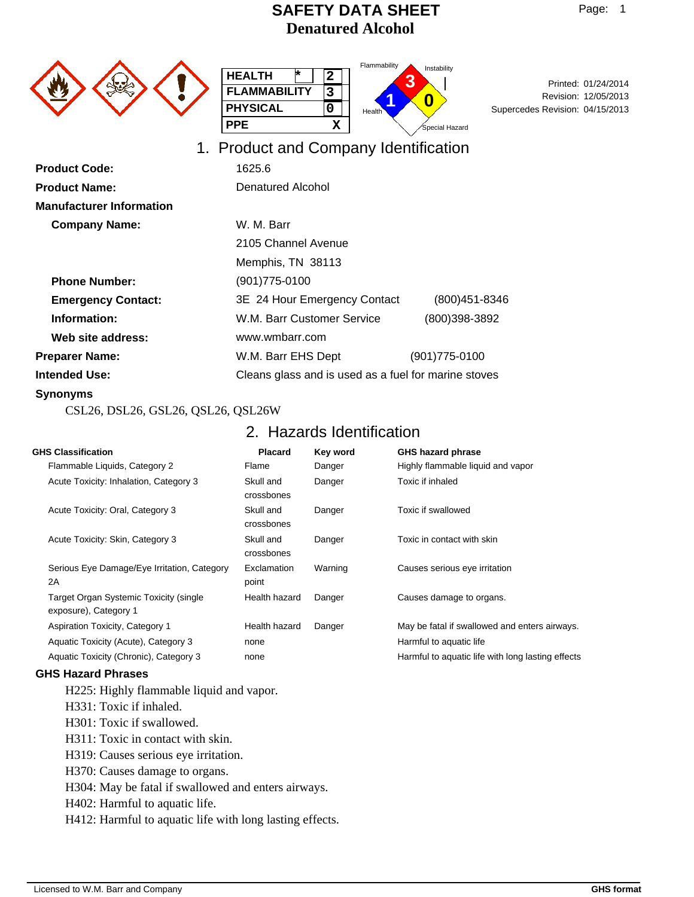1. Product and Company Identification



|                     | Flar |
|---------------------|------|
| <b>HEALTH</b>       |      |
| <b>FLAMMABILITY</b> |      |
| <b>PHYSICAL</b>     | He   |
| PPE                 |      |



Revision: 12/05/2013<br>Supercedes Revision: 04/15/2013 Revision: 12/05/2013 Printed: 01/24/2014

| <b>Product Code:</b>            | 1625.6                                               |                |  |
|---------------------------------|------------------------------------------------------|----------------|--|
| <b>Product Name:</b>            | Denatured Alcohol                                    |                |  |
| <b>Manufacturer Information</b> |                                                      |                |  |
| <b>Company Name:</b>            | W. M. Barr                                           |                |  |
|                                 | 2105 Channel Avenue                                  |                |  |
|                                 | Memphis, TN 38113                                    |                |  |
| <b>Phone Number:</b>            | $(901)775 - 0100$                                    |                |  |
| <b>Emergency Contact:</b>       | 3E 24 Hour Emergency Contact                         | (800) 451-8346 |  |
| Information:                    | W.M. Barr Customer Service                           | (800)398-3892  |  |
| Web site address:               | www.wmbarr.com                                       |                |  |
| <b>Preparer Name:</b>           | W.M. Barr EHS Dept                                   | (901)775-0100  |  |
| <b>Intended Use:</b>            | Cleans glass and is used as a fuel for marine stoves |                |  |
|                                 |                                                      |                |  |

#### **Synonyms**

CSL26, DSL26, GSL26, QSL26, QSL26W

## 2. Hazards Identification

| <b>GHS Classification</b>                                              | <b>Placard</b>          | Key word | <b>GHS hazard phrase</b>                          |
|------------------------------------------------------------------------|-------------------------|----------|---------------------------------------------------|
| Flammable Liquids, Category 2                                          | Flame                   | Danger   | Highly flammable liquid and vapor                 |
| Acute Toxicity: Inhalation, Category 3                                 | Skull and<br>crossbones | Danger   | Toxic if inhaled                                  |
| Acute Toxicity: Oral, Category 3                                       | Skull and<br>crossbones | Danger   | Toxic if swallowed                                |
| Acute Toxicity: Skin, Category 3                                       | Skull and<br>crossbones | Danger   | Toxic in contact with skin                        |
| Serious Eye Damage/Eye Irritation, Category<br>2A                      | Exclamation<br>point    | Warning  | Causes serious eye irritation                     |
| <b>Target Organ Systemic Toxicity (single</b><br>exposure), Category 1 | Health hazard           | Danger   | Causes damage to organs.                          |
| Aspiration Toxicity, Category 1                                        | Health hazard           | Danger   | May be fatal if swallowed and enters airways.     |
| Aquatic Toxicity (Acute), Category 3                                   | none                    |          | Harmful to aquatic life                           |
| Aquatic Toxicity (Chronic), Category 3                                 | none                    |          | Harmful to aquatic life with long lasting effects |

### **GHS Hazard Phrases**

H225: Highly flammable liquid and vapor.

- H331: Toxic if inhaled.
- H301: Toxic if swallowed.
- H311: Toxic in contact with skin.

H319: Causes serious eye irritation.

H370: Causes damage to organs.

H304: May be fatal if swallowed and enters airways.

H402: Harmful to aquatic life.

H412: Harmful to aquatic life with long lasting effects.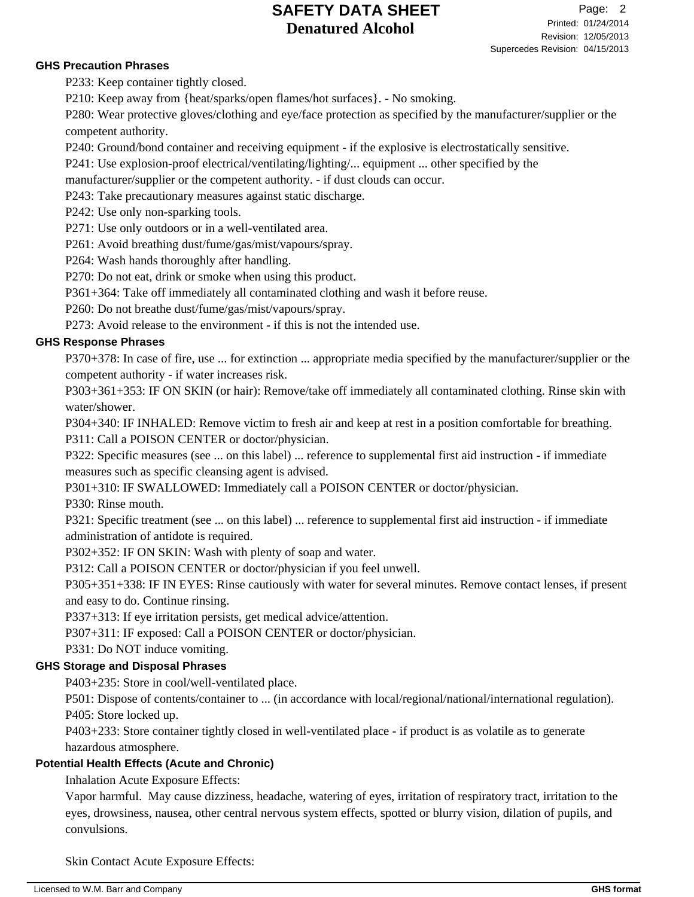#### **GHS Precaution Phrases**

P233: Keep container tightly closed.

P210: Keep away from {heat/sparks/open flames/hot surfaces}. - No smoking.

P280: Wear protective gloves/clothing and eye/face protection as specified by the manufacturer/supplier or the competent authority.

P240: Ground/bond container and receiving equipment - if the explosive is electrostatically sensitive.

P241: Use explosion-proof electrical/ventilating/lighting/... equipment ... other specified by the

manufacturer/supplier or the competent authority. - if dust clouds can occur.

P243: Take precautionary measures against static discharge.

P242: Use only non-sparking tools.

P271: Use only outdoors or in a well-ventilated area.

P261: Avoid breathing dust/fume/gas/mist/vapours/spray.

P264: Wash hands thoroughly after handling.

P270: Do not eat, drink or smoke when using this product.

P361+364: Take off immediately all contaminated clothing and wash it before reuse.

P260: Do not breathe dust/fume/gas/mist/vapours/spray.

P273: Avoid release to the environment - if this is not the intended use.

### **GHS Response Phrases**

P370+378: In case of fire, use ... for extinction ... appropriate media specified by the manufacturer/supplier or the competent authority - if water increases risk.

P303+361+353: IF ON SKIN (or hair): Remove/take off immediately all contaminated clothing. Rinse skin with water/shower.

P304+340: IF INHALED: Remove victim to fresh air and keep at rest in a position comfortable for breathing. P311: Call a POISON CENTER or doctor/physician.

P322: Specific measures (see ... on this label) ... reference to supplemental first aid instruction - if immediate measures such as specific cleansing agent is advised.

P301+310: IF SWALLOWED: Immediately call a POISON CENTER or doctor/physician.

P330: Rinse mouth.

P321: Specific treatment (see ... on this label) ... reference to supplemental first aid instruction - if immediate administration of antidote is required.

P302+352: IF ON SKIN: Wash with plenty of soap and water.

P312: Call a POISON CENTER or doctor/physician if you feel unwell.

P305+351+338: IF IN EYES: Rinse cautiously with water for several minutes. Remove contact lenses, if present and easy to do. Continue rinsing.

P337+313: If eye irritation persists, get medical advice/attention.

P307+311: IF exposed: Call a POISON CENTER or doctor/physician.

P331: Do NOT induce vomiting.

## **GHS Storage and Disposal Phrases**

P403+235: Store in cool/well-ventilated place.

P501: Dispose of contents/container to ... (in accordance with local/regional/national/international regulation). P405: Store locked up.

P403+233: Store container tightly closed in well-ventilated place - if product is as volatile as to generate hazardous atmosphere.

## **Potential Health Effects (Acute and Chronic)**

Inhalation Acute Exposure Effects:

Vapor harmful. May cause dizziness, headache, watering of eyes, irritation of respiratory tract, irritation to the eyes, drowsiness, nausea, other central nervous system effects, spotted or blurry vision, dilation of pupils, and convulsions.

Skin Contact Acute Exposure Effects: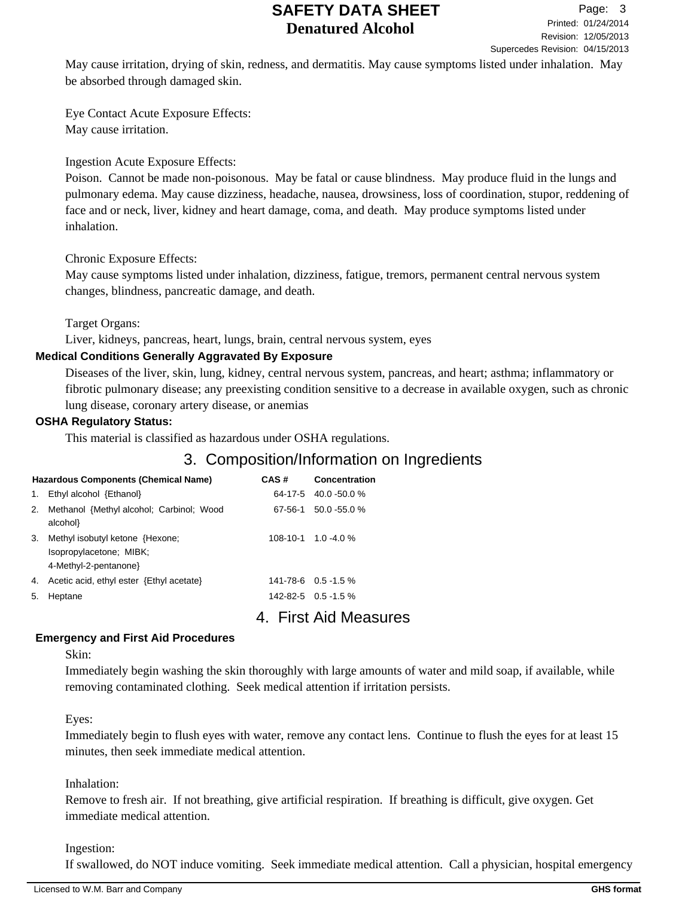May cause irritation, drying of skin, redness, and dermatitis. May cause symptoms listed under inhalation. May be absorbed through damaged skin.

Eye Contact Acute Exposure Effects: May cause irritation.

Ingestion Acute Exposure Effects:

Poison. Cannot be made non-poisonous. May be fatal or cause blindness. May produce fluid in the lungs and pulmonary edema. May cause dizziness, headache, nausea, drowsiness, loss of coordination, stupor, reddening of face and or neck, liver, kidney and heart damage, coma, and death. May produce symptoms listed under inhalation.

### Chronic Exposure Effects:

May cause symptoms listed under inhalation, dizziness, fatigue, tremors, permanent central nervous system changes, blindness, pancreatic damage, and death.

Target Organs:

Liver, kidneys, pancreas, heart, lungs, brain, central nervous system, eyes

### **Medical Conditions Generally Aggravated By Exposure**

Diseases of the liver, skin, lung, kidney, central nervous system, pancreas, and heart; asthma; inflammatory or fibrotic pulmonary disease; any preexisting condition sensitive to a decrease in available oxygen, such as chronic lung disease, coronary artery disease, or anemias

### **OSHA Regulatory Status:**

This material is classified as hazardous under OSHA regulations.

# 3. Composition/Information on Ingredients

|                | <b>Hazardous Components (Chemical Name)</b>                                        | CAS#    | Concentration              |
|----------------|------------------------------------------------------------------------------------|---------|----------------------------|
| $\mathbf{1}$ . | Ethyl alcohol {Ethanol}                                                            |         | $64-17-5$ 40.0 -50.0 %     |
|                | 2. Methanol {Methyl alcohol; Carbinol; Wood<br>alcohol}                            | 67-56-1 | $50.0 - 55.0 %$            |
| 3.             | Methyl isobutyl ketone {Hexone;<br>Isopropylacetone; MIBK;<br>4-Methyl-2-pentanone |         | $108-10-1$ 1.0 -4.0 %      |
| 4.             | Acetic acid, ethyl ester {Ethyl acetate}                                           |         | $141 - 78 - 6$ 0.5 - 1.5 % |
| 5.             | Heptane                                                                            |         | $142 - 82 - 5$ 0.5 - 1.5 % |

4. First Aid Measures

### **Emergency and First Aid Procedures**

Skin:

Immediately begin washing the skin thoroughly with large amounts of water and mild soap, if available, while removing contaminated clothing. Seek medical attention if irritation persists.

Eyes:

Immediately begin to flush eyes with water, remove any contact lens. Continue to flush the eyes for at least 15 minutes, then seek immediate medical attention.

### Inhalation:

Remove to fresh air. If not breathing, give artificial respiration. If breathing is difficult, give oxygen. Get immediate medical attention.

Ingestion:

If swallowed, do NOT induce vomiting. Seek immediate medical attention. Call a physician, hospital emergency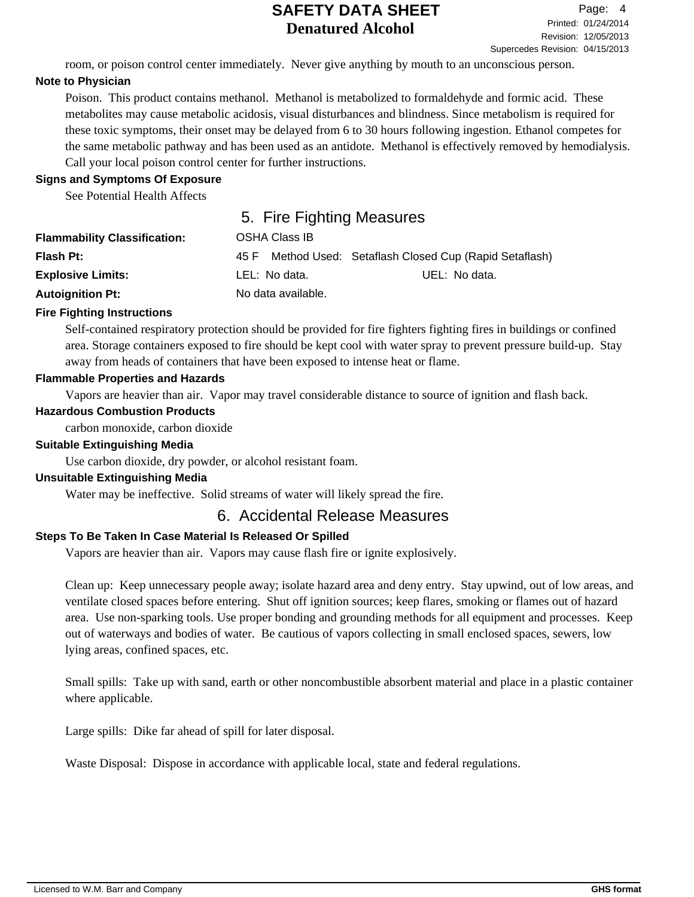room, or poison control center immediately. Never give anything by mouth to an unconscious person.

## **Note to Physician**

Poison. This product contains methanol. Methanol is metabolized to formaldehyde and formic acid. These metabolites may cause metabolic acidosis, visual disturbances and blindness. Since metabolism is required for these toxic symptoms, their onset may be delayed from 6 to 30 hours following ingestion. Ethanol competes for the same metabolic pathway and has been used as an antidote. Methanol is effectively removed by hemodialysis. Call your local poison control center for further instructions.

### **Signs and Symptoms Of Exposure**

See Potential Health Affects

# 5. Fire Fighting Measures

| <b>Flammability Classification:</b> | OSHA Class IB      |                                                     |
|-------------------------------------|--------------------|-----------------------------------------------------|
| <b>Flash Pt:</b>                    | 45 F               | Method Used: Setaflash Closed Cup (Rapid Setaflash) |
| <b>Explosive Limits:</b>            | LEL: No data.      | UEL: No data.                                       |
| <b>Autoignition Pt:</b>             | No data available. |                                                     |

### **Fire Fighting Instructions**

Self-contained respiratory protection should be provided for fire fighters fighting fires in buildings or confined area. Storage containers exposed to fire should be kept cool with water spray to prevent pressure build-up. Stay away from heads of containers that have been exposed to intense heat or flame.

### **Flammable Properties and Hazards**

Vapors are heavier than air. Vapor may travel considerable distance to source of ignition and flash back.

## **Hazardous Combustion Products**

carbon monoxide, carbon dioxide

### **Suitable Extinguishing Media**

Use carbon dioxide, dry powder, or alcohol resistant foam.

## **Unsuitable Extinguishing Media**

Water may be ineffective. Solid streams of water will likely spread the fire.

# 6. Accidental Release Measures

## **Steps To Be Taken In Case Material Is Released Or Spilled**

Vapors are heavier than air. Vapors may cause flash fire or ignite explosively.

Clean up: Keep unnecessary people away; isolate hazard area and deny entry. Stay upwind, out of low areas, and ventilate closed spaces before entering. Shut off ignition sources; keep flares, smoking or flames out of hazard area. Use non-sparking tools. Use proper bonding and grounding methods for all equipment and processes. Keep out of waterways and bodies of water. Be cautious of vapors collecting in small enclosed spaces, sewers, low lying areas, confined spaces, etc.

Small spills: Take up with sand, earth or other noncombustible absorbent material and place in a plastic container where applicable.

Large spills: Dike far ahead of spill for later disposal.

Waste Disposal: Dispose in accordance with applicable local, state and federal regulations.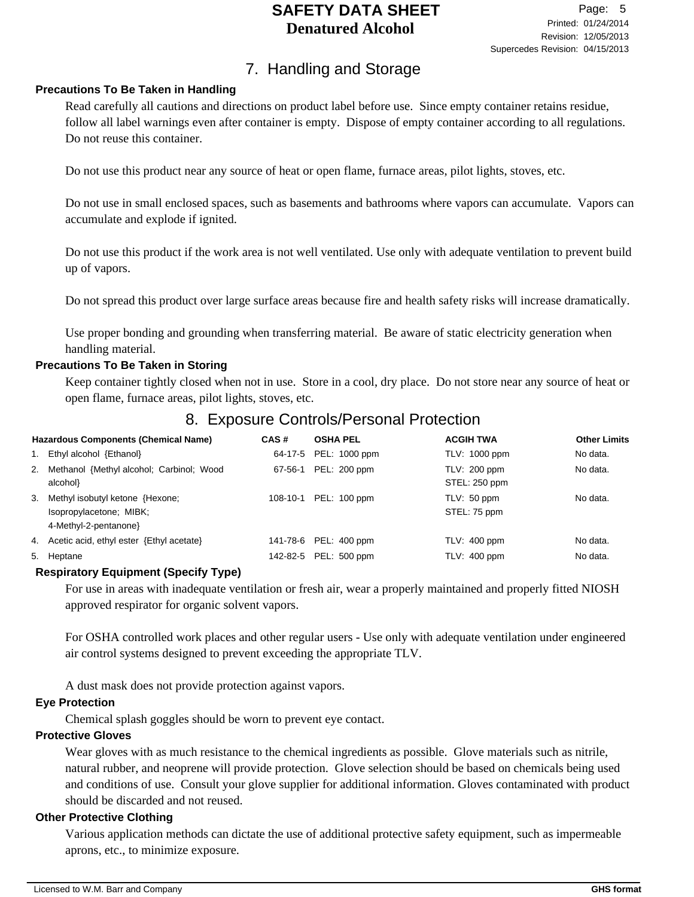# 7. Handling and Storage

### **Precautions To Be Taken in Handling**

Read carefully all cautions and directions on product label before use. Since empty container retains residue, follow all label warnings even after container is empty. Dispose of empty container according to all regulations. Do not reuse this container.

Do not use this product near any source of heat or open flame, furnace areas, pilot lights, stoves, etc.

Do not use in small enclosed spaces, such as basements and bathrooms where vapors can accumulate. Vapors can accumulate and explode if ignited.

Do not use this product if the work area is not well ventilated. Use only with adequate ventilation to prevent build up of vapors.

Do not spread this product over large surface areas because fire and health safety risks will increase dramatically.

Use proper bonding and grounding when transferring material. Be aware of static electricity generation when handling material.

### **Precautions To Be Taken in Storing**

Keep container tightly closed when not in use. Store in a cool, dry place. Do not store near any source of heat or open flame, furnace areas, pilot lights, stoves, etc.

# 8. Exposure Controls/Personal Protection

| <b>Hazardous Components (Chemical Name)</b> |                                          | CAS#     | <b>OSHA PEL</b>       | <b>ACGIH TWA</b> | <b>Other Limits</b> |
|---------------------------------------------|------------------------------------------|----------|-----------------------|------------------|---------------------|
| 1.                                          | Ethyl alcohol {Ethanol}                  | 64-17-5  | PEL: 1000 ppm         | TLV: 1000 ppm    | No data.            |
| 2.                                          | Methanol {Methyl alcohol; Carbinol; Wood | 67-56-1  | PEL: 200 ppm          | TLV: 200 ppm     | No data.            |
|                                             | alcohol}                                 |          |                       | STEL: 250 ppm    |                     |
| 3.                                          | Methyl isobutyl ketone {Hexone;          | 108-10-1 | PEL: 100 ppm          | TLV: 50 ppm      | No data.            |
|                                             | Isopropylacetone; MIBK;                  |          |                       | STEL: 75 ppm     |                     |
|                                             | 4-Methyl-2-pentanone                     |          |                       |                  |                     |
| 4.                                          | Acetic acid, ethyl ester {Ethyl acetate} |          | 141-78-6 PEL: 400 ppm | $TLV: 400$ ppm   | No data.            |
|                                             | 5. Heptane                               | 142-82-5 | PEL: 500 ppm          | $TLV: 400$ ppm   | No data.            |

### **Respiratory Equipment (Specify Type)**

For use in areas with inadequate ventilation or fresh air, wear a properly maintained and properly fitted NIOSH approved respirator for organic solvent vapors.

For OSHA controlled work places and other regular users - Use only with adequate ventilation under engineered air control systems designed to prevent exceeding the appropriate TLV.

A dust mask does not provide protection against vapors.

### **Eye Protection**

Chemical splash goggles should be worn to prevent eye contact.

### **Protective Gloves**

Wear gloves with as much resistance to the chemical ingredients as possible. Glove materials such as nitrile, natural rubber, and neoprene will provide protection. Glove selection should be based on chemicals being used and conditions of use. Consult your glove supplier for additional information. Gloves contaminated with product should be discarded and not reused.

### **Other Protective Clothing**

Various application methods can dictate the use of additional protective safety equipment, such as impermeable aprons, etc., to minimize exposure.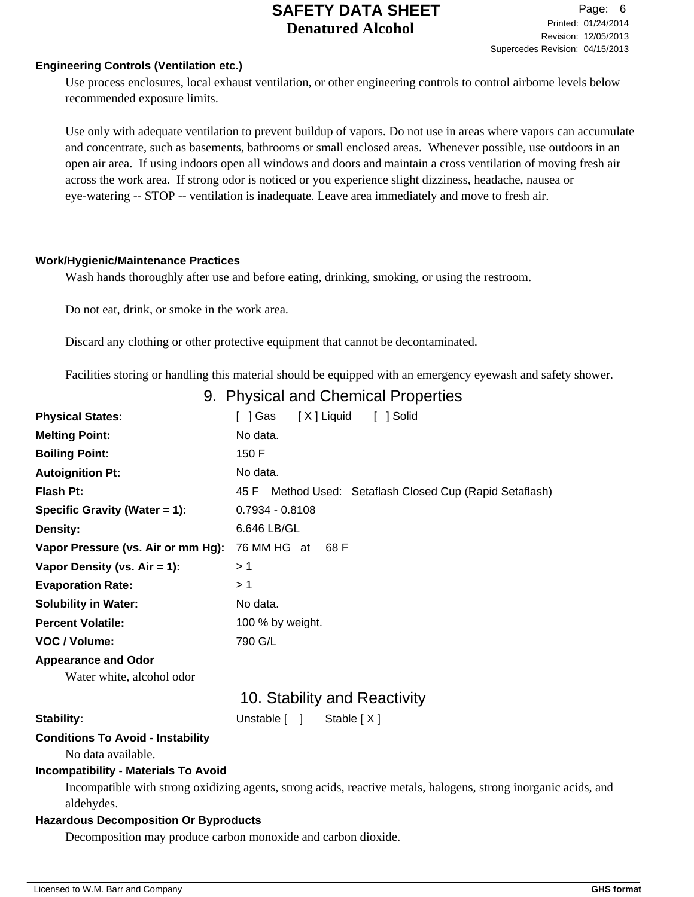#### **Engineering Controls (Ventilation etc.)**

Use process enclosures, local exhaust ventilation, or other engineering controls to control airborne levels below recommended exposure limits.

Use only with adequate ventilation to prevent buildup of vapors. Do not use in areas where vapors can accumulate and concentrate, such as basements, bathrooms or small enclosed areas. Whenever possible, use outdoors in an open air area. If using indoors open all windows and doors and maintain a cross ventilation of moving fresh air across the work area. If strong odor is noticed or you experience slight dizziness, headache, nausea or eye-watering -- STOP -- ventilation is inadequate. Leave area immediately and move to fresh air.

#### **Work/Hygienic/Maintenance Practices**

Wash hands thoroughly after use and before eating, drinking, smoking, or using the restroom.

Do not eat, drink, or smoke in the work area.

Discard any clothing or other protective equipment that cannot be decontaminated.

Facilities storing or handling this material should be equipped with an emergency eyewash and safety shower.

## 9. Physical and Chemical Properties

| <b>Physical States:</b>                                       | [X] Liquid<br>[ ] Solid<br>[ ] Gas                                                                              |  |  |  |  |
|---------------------------------------------------------------|-----------------------------------------------------------------------------------------------------------------|--|--|--|--|
| <b>Melting Point:</b>                                         | No data.                                                                                                        |  |  |  |  |
| <b>Boiling Point:</b>                                         | 150 F                                                                                                           |  |  |  |  |
| <b>Autoignition Pt:</b>                                       | No data.                                                                                                        |  |  |  |  |
| <b>Flash Pt:</b>                                              | Method Used: Setaflash Closed Cup (Rapid Setaflash)<br>45 F                                                     |  |  |  |  |
| Specific Gravity (Water = 1):                                 | $0.7934 - 0.8108$                                                                                               |  |  |  |  |
| Density:                                                      | 6.646 LB/GL                                                                                                     |  |  |  |  |
| Vapor Pressure (vs. Air or mm Hg):                            | 76 MM HG at 68 F                                                                                                |  |  |  |  |
| Vapor Density (vs. $Air = 1$ ):                               | >1                                                                                                              |  |  |  |  |
| <b>Evaporation Rate:</b>                                      | >1                                                                                                              |  |  |  |  |
| <b>Solubility in Water:</b>                                   | No data.                                                                                                        |  |  |  |  |
| <b>Percent Volatile:</b>                                      | 100 % by weight.                                                                                                |  |  |  |  |
| VOC / Volume:                                                 | 790 G/L                                                                                                         |  |  |  |  |
| <b>Appearance and Odor</b>                                    |                                                                                                                 |  |  |  |  |
| Water white, alcohol odor                                     |                                                                                                                 |  |  |  |  |
|                                                               | 10. Stability and Reactivity                                                                                    |  |  |  |  |
| <b>Stability:</b>                                             | Unstable [ ]<br>Stable $[X]$                                                                                    |  |  |  |  |
| <b>Conditions To Avoid - Instability</b>                      |                                                                                                                 |  |  |  |  |
| No data available.                                            |                                                                                                                 |  |  |  |  |
| <b>Incompatibility - Materials To Avoid</b>                   |                                                                                                                 |  |  |  |  |
|                                                               | Incompatible with strong oxidizing agents, strong acids, reactive metals, halogens, strong inorganic acids, and |  |  |  |  |
| aldehydes.                                                    |                                                                                                                 |  |  |  |  |
| <b>Hazardous Decomposition Or Byproducts</b>                  |                                                                                                                 |  |  |  |  |
| Decomposition may produce carbon monoxide and carbon dioxide. |                                                                                                                 |  |  |  |  |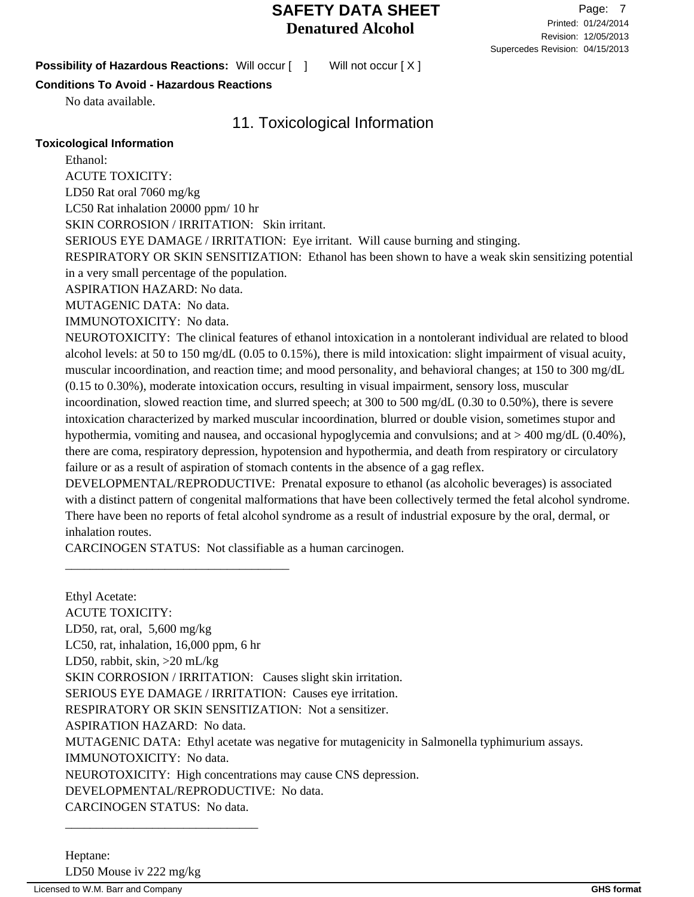**Possibility of Hazardous Reactions:** Will occur  $\begin{bmatrix} 1 \end{bmatrix}$  Will not occur  $\begin{bmatrix} X \end{bmatrix}$ 

### **Conditions To Avoid - Hazardous Reactions**

No data available.

# 11. Toxicological Information

### **Toxicological Information**

Ethanol: ACUTE TOXICITY: LD50 Rat oral 7060 mg/kg LC50 Rat inhalation 20000 ppm/ 10 hr SKIN CORROSION / IRRITATION: Skin irritant. SERIOUS EYE DAMAGE / IRRITATION: Eye irritant. Will cause burning and stinging. RESPIRATORY OR SKIN SENSITIZATION: Ethanol has been shown to have a weak skin sensitizing potential in a very small percentage of the population. ASPIRATION HAZARD: No data. MUTAGENIC DATA: No data. IMMUNOTOXICITY: No data. NEUROTOXICITY: The clinical features of ethanol intoxication in a nontolerant individual are related to blood alcohol levels: at 50 to 150 mg/dL (0.05 to 0.15%), there is mild intoxication: slight impairment of visual acuity, muscular incoordination, and reaction time; and mood personality, and behavioral changes; at 150 to 300 mg/dL (0.15 to 0.30%), moderate intoxication occurs, resulting in visual impairment, sensory loss, muscular incoordination, slowed reaction time, and slurred speech; at 300 to 500 mg/dL (0.30 to 0.50%), there is severe intoxication characterized by marked muscular incoordination, blurred or double vision, sometimes stupor and hypothermia, vomiting and nausea, and occasional hypoglycemia and convulsions; and at > 400 mg/dL (0.40%), there are coma, respiratory depression, hypotension and hypothermia, and death from respiratory or circulatory failure or as a result of aspiration of stomach contents in the absence of a gag reflex. DEVELOPMENTAL/REPRODUCTIVE: Prenatal exposure to ethanol (as alcoholic beverages) is associated with a distinct pattern of congenital malformations that have been collectively termed the fetal alcohol syndrome.

There have been no reports of fetal alcohol syndrome as a result of industrial exposure by the oral, dermal, or inhalation routes.

CARCINOGEN STATUS: Not classifiable as a human carcinogen.

\_\_\_\_\_\_\_\_\_\_\_\_\_\_\_\_\_\_\_\_\_\_\_\_\_\_\_\_\_\_\_\_\_\_\_\_

Ethyl Acetate: ACUTE TOXICITY: LD50, rat, oral, 5,600 mg/kg LC50, rat, inhalation, 16,000 ppm, 6 hr LD50, rabbit, skin, >20 mL/kg SKIN CORROSION / IRRITATION: Causes slight skin irritation. SERIOUS EYE DAMAGE / IRRITATION: Causes eye irritation. RESPIRATORY OR SKIN SENSITIZATION: Not a sensitizer. ASPIRATION HAZARD: No data. MUTAGENIC DATA: Ethyl acetate was negative for mutagenicity in Salmonella typhimurium assays. IMMUNOTOXICITY: No data. NEUROTOXICITY: High concentrations may cause CNS depression. DEVELOPMENTAL/REPRODUCTIVE: No data. CARCINOGEN STATUS: No data.

\_\_\_\_\_\_\_\_\_\_\_\_\_\_\_\_\_\_\_\_\_\_\_\_\_\_\_\_\_\_\_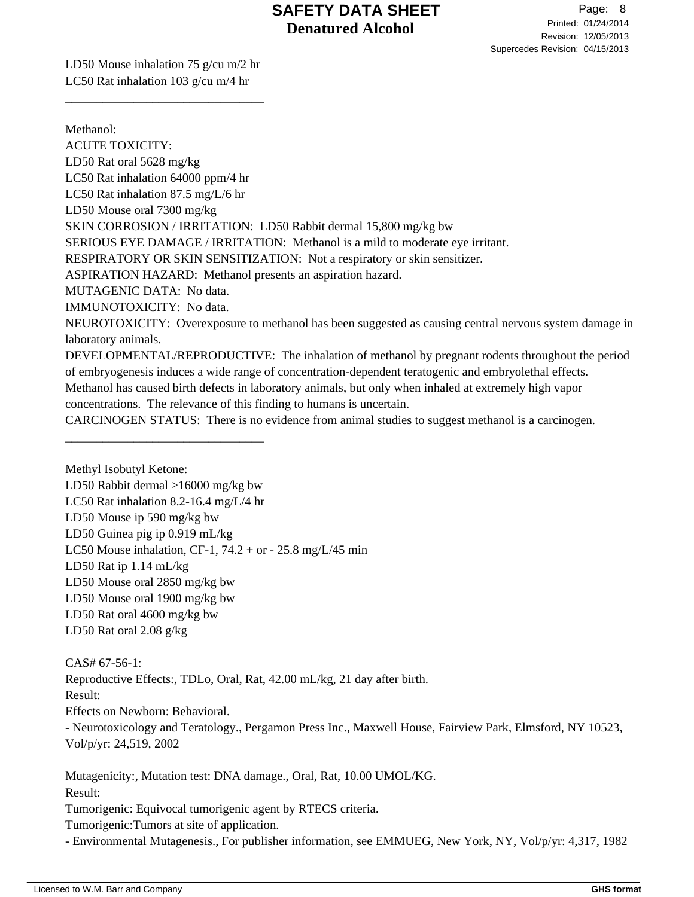LD50 Mouse inhalation 75 g/cu m/2 hr LC50 Rat inhalation 103 g/cu m/4 hr

\_\_\_\_\_\_\_\_\_\_\_\_\_\_\_\_\_\_\_\_\_\_\_\_\_\_\_\_\_\_\_\_

\_\_\_\_\_\_\_\_\_\_\_\_\_\_\_\_\_\_\_\_\_\_\_\_\_\_\_\_\_\_\_\_

Methanol: ACUTE TOXICITY: LD50 Rat oral 5628 mg/kg LC50 Rat inhalation 64000 ppm/4 hr LC50 Rat inhalation 87.5 mg/L/6 hr LD50 Mouse oral 7300 mg/kg SKIN CORROSION / IRRITATION: LD50 Rabbit dermal 15,800 mg/kg bw SERIOUS EYE DAMAGE / IRRITATION: Methanol is a mild to moderate eye irritant. RESPIRATORY OR SKIN SENSITIZATION: Not a respiratory or skin sensitizer. ASPIRATION HAZARD: Methanol presents an aspiration hazard. MUTAGENIC DATA: No data. IMMUNOTOXICITY: No data. NEUROTOXICITY: Overexposure to methanol has been suggested as causing central nervous system damage in laboratory animals. DEVELOPMENTAL/REPRODUCTIVE: The inhalation of methanol by pregnant rodents throughout the period of embryogenesis induces a wide range of concentration-dependent teratogenic and embryolethal effects. Methanol has caused birth defects in laboratory animals, but only when inhaled at extremely high vapor concentrations. The relevance of this finding to humans is uncertain. CARCINOGEN STATUS: There is no evidence from animal studies to suggest methanol is a carcinogen.

Methyl Isobutyl Ketone: LD50 Rabbit dermal >16000 mg/kg bw LC50 Rat inhalation 8.2-16.4 mg/L/4 hr LD50 Mouse ip 590 mg/kg bw LD50 Guinea pig ip 0.919 mL/kg LC50 Mouse inhalation, CF-1,  $74.2 + or - 25.8$  mg/L/45 min LD50 Rat ip 1.14 mL/kg LD50 Mouse oral 2850 mg/kg bw LD50 Mouse oral 1900 mg/kg bw LD50 Rat oral 4600 mg/kg bw LD50 Rat oral 2.08 g/kg

CAS# 67-56-1: Reproductive Effects:, TDLo, Oral, Rat, 42.00 mL/kg, 21 day after birth. Result: Effects on Newborn: Behavioral. - Neurotoxicology and Teratology., Pergamon Press Inc., Maxwell House, Fairview Park, Elmsford, NY 10523, Vol/p/yr: 24,519, 2002

Mutagenicity:, Mutation test: DNA damage., Oral, Rat, 10.00 UMOL/KG. Result: Tumorigenic: Equivocal tumorigenic agent by RTECS criteria. Tumorigenic:Tumors at site of application.

- Environmental Mutagenesis., For publisher information, see EMMUEG, New York, NY, Vol/p/yr: 4,317, 1982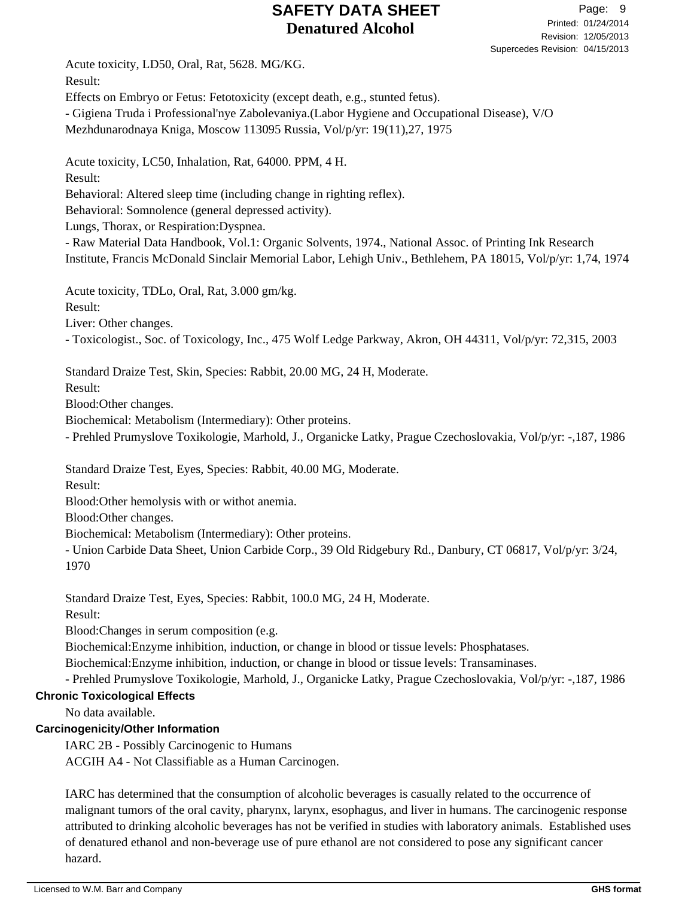Acute toxicity, LD50, Oral, Rat, 5628. MG/KG. Result: Effects on Embryo or Fetus: Fetotoxicity (except death, e.g., stunted fetus). - Gigiena Truda i Professional'nye Zabolevaniya.(Labor Hygiene and Occupational Disease), V/O Mezhdunarodnaya Kniga, Moscow 113095 Russia, Vol/p/yr: 19(11),27, 1975

Acute toxicity, LC50, Inhalation, Rat, 64000. PPM, 4 H. Result: Behavioral: Altered sleep time (including change in righting reflex). Behavioral: Somnolence (general depressed activity). Lungs, Thorax, or Respiration:Dyspnea.

- Raw Material Data Handbook, Vol.1: Organic Solvents, 1974., National Assoc. of Printing Ink Research Institute, Francis McDonald Sinclair Memorial Labor, Lehigh Univ., Bethlehem, PA 18015, Vol/p/yr: 1,74, 1974

Acute toxicity, TDLo, Oral, Rat, 3.000 gm/kg.

Result:

Liver: Other changes.

- Toxicologist., Soc. of Toxicology, Inc., 475 Wolf Ledge Parkway, Akron, OH 44311, Vol/p/yr: 72,315, 2003

Standard Draize Test, Skin, Species: Rabbit, 20.00 MG, 24 H, Moderate.

Result:

Blood:Other changes.

Biochemical: Metabolism (Intermediary): Other proteins.

- Prehled Prumyslove Toxikologie, Marhold, J., Organicke Latky, Prague Czechoslovakia, Vol/p/yr: -,187, 1986

Standard Draize Test, Eyes, Species: Rabbit, 40.00 MG, Moderate.

Result:

Blood:Other hemolysis with or withot anemia.

Blood:Other changes.

Biochemical: Metabolism (Intermediary): Other proteins.

- Union Carbide Data Sheet, Union Carbide Corp., 39 Old Ridgebury Rd., Danbury, CT 06817, Vol/p/yr: 3/24, 1970

Standard Draize Test, Eyes, Species: Rabbit, 100.0 MG, 24 H, Moderate.

Result:

Blood:Changes in serum composition (e.g.

Biochemical:Enzyme inhibition, induction, or change in blood or tissue levels: Phosphatases.

Biochemical:Enzyme inhibition, induction, or change in blood or tissue levels: Transaminases.

- Prehled Prumyslove Toxikologie, Marhold, J., Organicke Latky, Prague Czechoslovakia, Vol/p/yr: -,187, 1986

## **Chronic Toxicological Effects**

No data available.

## **Carcinogenicity/Other Information**

IARC 2B - Possibly Carcinogenic to Humans

ACGIH A4 - Not Classifiable as a Human Carcinogen.

IARC has determined that the consumption of alcoholic beverages is casually related to the occurrence of malignant tumors of the oral cavity, pharynx, larynx, esophagus, and liver in humans. The carcinogenic response attributed to drinking alcoholic beverages has not be verified in studies with laboratory animals. Established uses of denatured ethanol and non-beverage use of pure ethanol are not considered to pose any significant cancer hazard.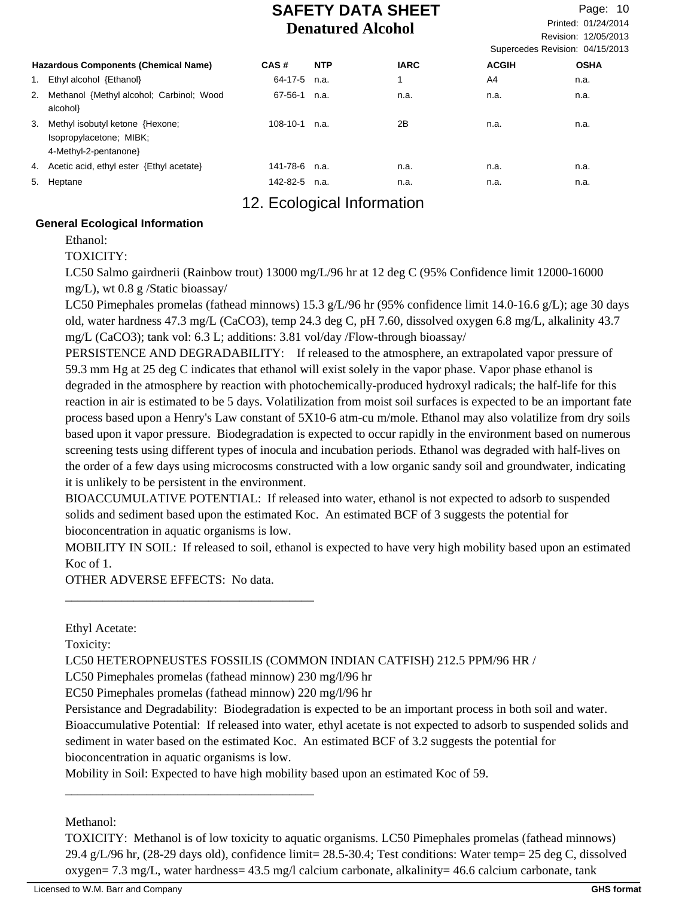Revision: 12/05/2013 Printed: 01/24/2014 Page: 10 Supercedes Revision: 04/15/2013

|    | <b>Hazardous Components (Chemical Name)</b>                                        | CAS#            | <b>NTP</b> | <b>IARC</b> | <b>ACGIH</b> | <b>OSHA</b> |
|----|------------------------------------------------------------------------------------|-----------------|------------|-------------|--------------|-------------|
|    | Ethyl alcohol {Ethanol}                                                            | 64-17-5         | n.a.       |             | A4           | n.a.        |
|    | 2. Methanol {Methyl alcohol; Carbinol; Wood<br>alcohol}                            | 67-56-1         | n.a.       | n.a.        | n.a.         | n.a.        |
| 3. | Methyl isobutyl ketone {Hexone;<br>Isopropylacetone; MIBK;<br>4-Methyl-2-pentanone | $108-10-1$ n.a. |            | 2Β          | n.a.         | n.a.        |
|    | 4. Acetic acid, ethyl ester {Ethyl acetate}                                        | 141-78-6        | n.a.       | n.a.        | n.a.         | n.a.        |
|    | 5. Heptane                                                                         | 142-82-5        | n.a.       | n.a.        | n.a.         | n.a.        |
|    |                                                                                    |                 |            |             |              |             |

# 12. Ecological Information

### **General Ecological Information**

Ethanol:

TOXICITY:

LC50 Salmo gairdnerii (Rainbow trout) 13000 mg/L/96 hr at 12 deg C (95% Confidence limit 12000-16000 mg/L), wt 0.8 g /Static bioassay/

LC50 Pimephales promelas (fathead minnows) 15.3 g/L/96 hr (95% confidence limit 14.0-16.6 g/L); age 30 days old, water hardness 47.3 mg/L (CaCO3), temp 24.3 deg C, pH 7.60, dissolved oxygen 6.8 mg/L, alkalinity 43.7 mg/L (CaCO3); tank vol: 6.3 L; additions: 3.81 vol/day /Flow-through bioassay/

PERSISTENCE AND DEGRADABILITY: If released to the atmosphere, an extrapolated vapor pressure of 59.3 mm Hg at 25 deg C indicates that ethanol will exist solely in the vapor phase. Vapor phase ethanol is degraded in the atmosphere by reaction with photochemically-produced hydroxyl radicals; the half-life for this reaction in air is estimated to be 5 days. Volatilization from moist soil surfaces is expected to be an important fate process based upon a Henry's Law constant of 5X10-6 atm-cu m/mole. Ethanol may also volatilize from dry soils based upon it vapor pressure. Biodegradation is expected to occur rapidly in the environment based on numerous screening tests using different types of inocula and incubation periods. Ethanol was degraded with half-lives on the order of a few days using microcosms constructed with a low organic sandy soil and groundwater, indicating it is unlikely to be persistent in the environment.

BIOACCUMULATIVE POTENTIAL: If released into water, ethanol is not expected to adsorb to suspended solids and sediment based upon the estimated Koc. An estimated BCF of 3 suggests the potential for bioconcentration in aquatic organisms is low.

MOBILITY IN SOIL: If released to soil, ethanol is expected to have very high mobility based upon an estimated Koc of 1.

OTHER ADVERSE EFFECTS: No data.

\_\_\_\_\_\_\_\_\_\_\_\_\_\_\_\_\_\_\_\_\_\_\_\_\_\_\_\_\_\_\_\_\_\_\_\_\_\_\_\_

\_\_\_\_\_\_\_\_\_\_\_\_\_\_\_\_\_\_\_\_\_\_\_\_\_\_\_\_\_\_\_\_\_\_\_\_\_\_\_\_

Ethyl Acetate:

Toxicity:

LC50 HETEROPNEUSTES FOSSILIS (COMMON INDIAN CATFISH) 212.5 PPM/96 HR /

LC50 Pimephales promelas (fathead minnow) 230 mg/l/96 hr

EC50 Pimephales promelas (fathead minnow) 220 mg/l/96 hr

Persistance and Degradability: Biodegradation is expected to be an important process in both soil and water. Bioaccumulative Potential: If released into water, ethyl acetate is not expected to adsorb to suspended solids and sediment in water based on the estimated Koc. An estimated BCF of 3.2 suggests the potential for bioconcentration in aquatic organisms is low.

Mobility in Soil: Expected to have high mobility based upon an estimated Koc of 59.

Methanol:

TOXICITY: Methanol is of low toxicity to aquatic organisms. LC50 Pimephales promelas (fathead minnows) 29.4 g/L/96 hr, (28-29 days old), confidence limit= 28.5-30.4; Test conditions: Water temp= 25 deg C, dissolved oxygen= 7.3 mg/L, water hardness= 43.5 mg/l calcium carbonate, alkalinity= 46.6 calcium carbonate, tank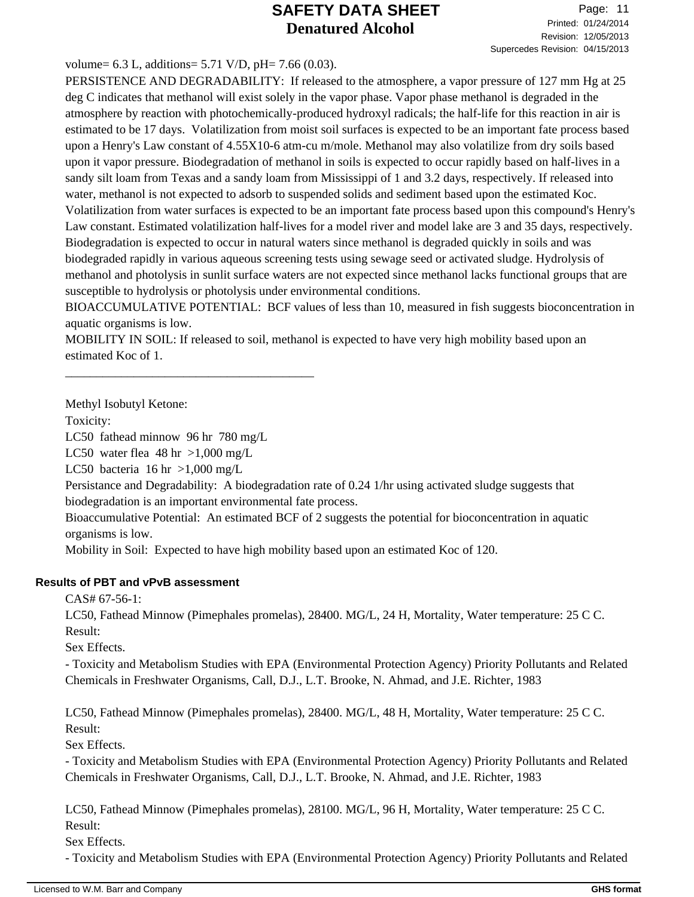### volume=  $6.3$  L, additions=  $5.71$  V/D, pH=  $7.66$  (0.03).

PERSISTENCE AND DEGRADABILITY: If released to the atmosphere, a vapor pressure of 127 mm Hg at 25 deg C indicates that methanol will exist solely in the vapor phase. Vapor phase methanol is degraded in the atmosphere by reaction with photochemically-produced hydroxyl radicals; the half-life for this reaction in air is estimated to be 17 days. Volatilization from moist soil surfaces is expected to be an important fate process based upon a Henry's Law constant of 4.55X10-6 atm-cu m/mole. Methanol may also volatilize from dry soils based upon it vapor pressure. Biodegradation of methanol in soils is expected to occur rapidly based on half-lives in a sandy silt loam from Texas and a sandy loam from Mississippi of 1 and 3.2 days, respectively. If released into water, methanol is not expected to adsorb to suspended solids and sediment based upon the estimated Koc. Volatilization from water surfaces is expected to be an important fate process based upon this compound's Henry's Law constant. Estimated volatilization half-lives for a model river and model lake are 3 and 35 days, respectively. Biodegradation is expected to occur in natural waters since methanol is degraded quickly in soils and was biodegraded rapidly in various aqueous screening tests using sewage seed or activated sludge. Hydrolysis of methanol and photolysis in sunlit surface waters are not expected since methanol lacks functional groups that are susceptible to hydrolysis or photolysis under environmental conditions.

BIOACCUMULATIVE POTENTIAL: BCF values of less than 10, measured in fish suggests bioconcentration in aquatic organisms is low.

MOBILITY IN SOIL: If released to soil, methanol is expected to have very high mobility based upon an estimated Koc of 1.

Methyl Isobutyl Ketone:

Toxicity:

LC50 fathead minnow 96 hr 780 mg/L

\_\_\_\_\_\_\_\_\_\_\_\_\_\_\_\_\_\_\_\_\_\_\_\_\_\_\_\_\_\_\_\_\_\_\_\_\_\_\_\_

LC50 water flea  $48 \text{ hr} > 1,000 \text{ mg/L}$ 

LC50 bacteria  $16 \text{ hr} > 1,000 \text{ mg/L}$ 

Persistance and Degradability: A biodegradation rate of 0.24 1/hr using activated sludge suggests that biodegradation is an important environmental fate process.

Bioaccumulative Potential: An estimated BCF of 2 suggests the potential for bioconcentration in aquatic organisms is low.

Mobility in Soil: Expected to have high mobility based upon an estimated Koc of 120.

## **Results of PBT and vPvB assessment**

CAS# 67-56-1:

LC50, Fathead Minnow (Pimephales promelas), 28400. MG/L, 24 H, Mortality, Water temperature: 25 C C. Result:

Sex Effects.

- Toxicity and Metabolism Studies with EPA (Environmental Protection Agency) Priority Pollutants and Related Chemicals in Freshwater Organisms, Call, D.J., L.T. Brooke, N. Ahmad, and J.E. Richter, 1983

LC50, Fathead Minnow (Pimephales promelas), 28400. MG/L, 48 H, Mortality, Water temperature: 25 C C. Result:

Sex Effects.

- Toxicity and Metabolism Studies with EPA (Environmental Protection Agency) Priority Pollutants and Related Chemicals in Freshwater Organisms, Call, D.J., L.T. Brooke, N. Ahmad, and J.E. Richter, 1983

LC50, Fathead Minnow (Pimephales promelas), 28100. MG/L, 96 H, Mortality, Water temperature: 25 C C. Result:

Sex Effects.

- Toxicity and Metabolism Studies with EPA (Environmental Protection Agency) Priority Pollutants and Related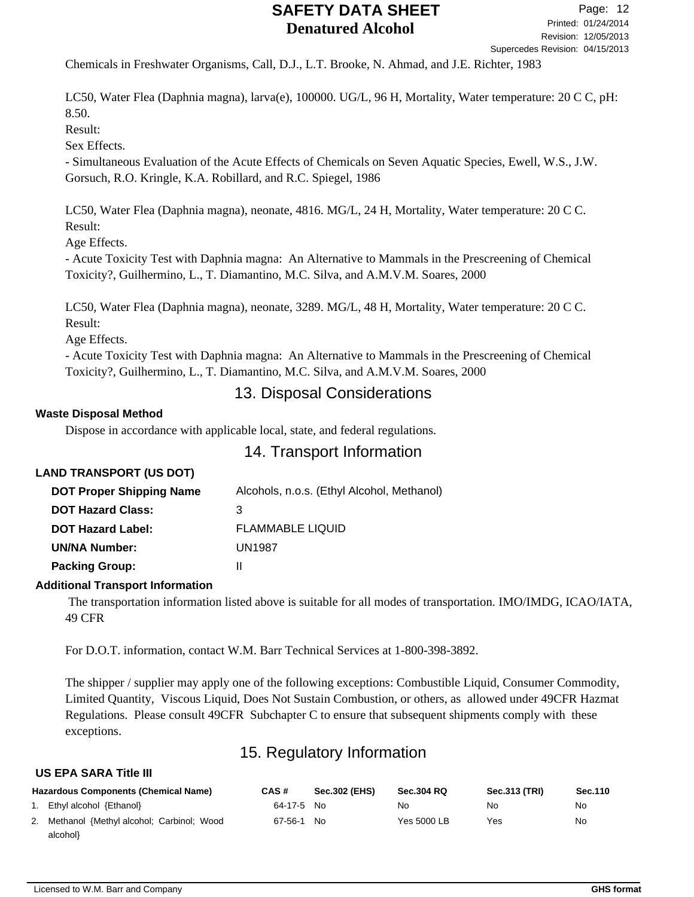Chemicals in Freshwater Organisms, Call, D.J., L.T. Brooke, N. Ahmad, and J.E. Richter, 1983

LC50, Water Flea (Daphnia magna), larva(e), 100000. UG/L, 96 H, Mortality, Water temperature: 20 C C, pH: 8.50.

Result:

Sex Effects.

- Simultaneous Evaluation of the Acute Effects of Chemicals on Seven Aquatic Species, Ewell, W.S., J.W. Gorsuch, R.O. Kringle, K.A. Robillard, and R.C. Spiegel, 1986

LC50, Water Flea (Daphnia magna), neonate, 4816. MG/L, 24 H, Mortality, Water temperature: 20 C C. Result:

Age Effects.

- Acute Toxicity Test with Daphnia magna: An Alternative to Mammals in the Prescreening of Chemical Toxicity?, Guilhermino, L., T. Diamantino, M.C. Silva, and A.M.V.M. Soares, 2000

LC50, Water Flea (Daphnia magna), neonate, 3289. MG/L, 48 H, Mortality, Water temperature: 20 C C. Result:

Age Effects.

- Acute Toxicity Test with Daphnia magna: An Alternative to Mammals in the Prescreening of Chemical Toxicity?, Guilhermino, L., T. Diamantino, M.C. Silva, and A.M.V.M. Soares, 2000

## 13. Disposal Considerations

### **Waste Disposal Method**

Dispose in accordance with applicable local, state, and federal regulations.

## 14. Transport Information

## **LAND TRANSPORT (US DOT)**

| <b>DOT Proper Shipping Name</b> | Alcohols, n.o.s. (Ethyl Alcohol, Methanol) |
|---------------------------------|--------------------------------------------|
| <b>DOT Hazard Class:</b>        | 3                                          |
| <b>DOT Hazard Label:</b>        | <b>FLAMMABLE LIQUID</b>                    |
| <b>UN/NA Number:</b>            | <b>UN1987</b>                              |
| <b>Packing Group:</b>           | н                                          |

### **Additional Transport Information**

 The transportation information listed above is suitable for all modes of transportation. IMO/IMDG, ICAO/IATA, 49 CFR

For D.O.T. information, contact W.M. Barr Technical Services at 1-800-398-3892.

The shipper / supplier may apply one of the following exceptions: Combustible Liquid, Consumer Commodity, Limited Quantity, Viscous Liquid, Does Not Sustain Combustion, or others, as allowed under 49CFR Hazmat Regulations. Please consult 49CFR Subchapter C to ensure that subsequent shipments comply with these exceptions.

# 15. Regulatory Information

### **US EPA SARA Title III**

| <b>Hazardous Components (Chemical Name)</b> | CAS #      | <b>Sec.302 (EHS)</b> | <b>Sec.304 RQ</b> | <b>Sec.313 (TRI)</b> | Sec.110 |
|---------------------------------------------|------------|----------------------|-------------------|----------------------|---------|
| 1. Ethyl alcohol {Ethanol}                  | 64-17-5 No |                      | No                | No.                  | No      |
| 2. Methanol {Methyl alcohol; Carbinol; Wood | 67-56-1 No |                      | Yes 5000 LB       | Yes                  | No      |
| alcohol}                                    |            |                      |                   |                      |         |